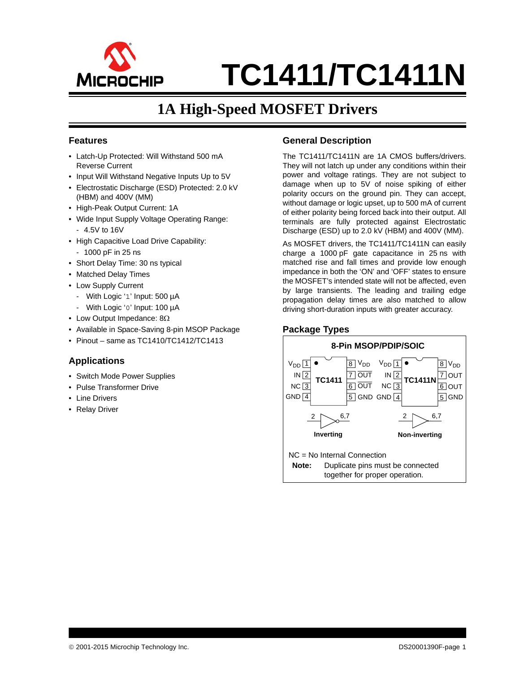

# **TC1411/TC1411N**

## **1A High-Speed MOSFET Drivers**

#### <span id="page-0-0"></span>**Features**

- Latch-Up Protected: Will Withstand 500 mA Reverse Current
- Input Will Withstand Negative Inputs Up to 5V
- Electrostatic Discharge (ESD) Protected: 2.0 kV (HBM) and 400V (MM)
- High-Peak Output Current: 1A
- Wide Input Supply Voltage Operating Range:
	- 4.5V to 16V
- High Capacitive Load Drive Capability:
- 1000 pF in 25 ns
- Short Delay Time: 30 ns typical
- Matched Delay Times
- Low Supply Current
	- With Logic '1' Input: 500 µA
- With Logic '0' Input: 100 µA
- Low Output Impedance:  $8\Omega$
- Available in Space-Saving 8-pin MSOP Package
- Pinout same as TC1410/TC1412/TC1413

#### **Applications**

- Switch Mode Power Supplies
- Pulse Transformer Drive
- Line Drivers
- Relay Driver

#### <span id="page-0-1"></span>**General Description**

The TC1411/TC1411N are 1A CMOS buffers/drivers. They will not latch up under any conditions within their power and voltage ratings. They are not subject to damage when up to 5V of noise spiking of either polarity occurs on the ground pin. They can accept, without damage or logic upset, up to 500 mA of current of either polarity being forced back into their output. All terminals are fully protected against Electrostatic Discharge (ESD) up to 2.0 kV (HBM) and 400V (MM).

As MOSFET drivers, the TC1411/TC1411N can easily charge a 1000 pF gate capacitance in 25 ns with matched rise and fall times and provide low enough impedance in both the 'ON' and 'OFF' states to ensure the MOSFET's intended state will not be affected, even by large transients. The leading and trailing edge propagation delay times are also matched to allow driving short-duration inputs with greater accuracy.

#### **Package Types**

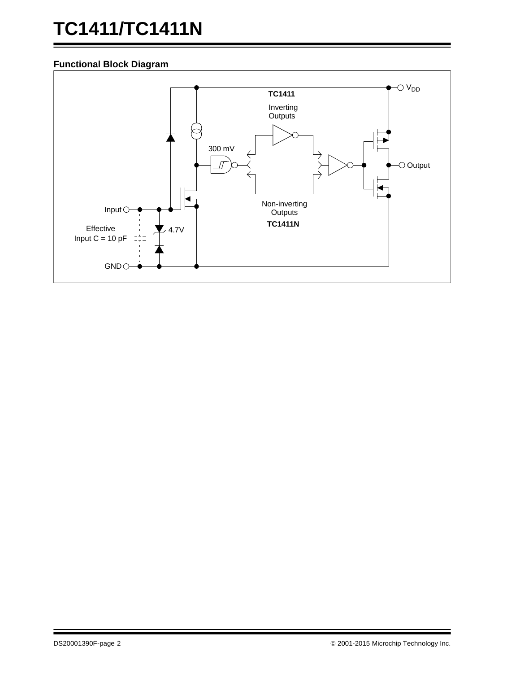# **TC1411/TC1411N**

#### **Functional Block Diagram**

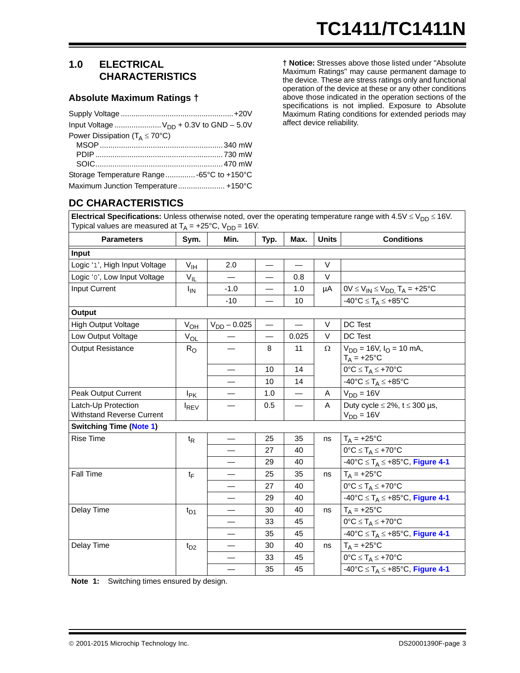#### **1.0 ELECTRICAL CHARACTERISTICS**

#### **Absolute Maximum Ratings †**

| Input Voltage $V_{DD}$ + 0.3V to GND - 5.0V  |  |
|----------------------------------------------|--|
| Power Dissipation ( $T_A \leq 70^{\circ}$ C) |  |
|                                              |  |
|                                              |  |
|                                              |  |
| Storage Temperature Range -65°C to +150°C    |  |
| Maximum Junction Temperature +150°C          |  |

**† Notice:** Stresses above those listed under "Absolute Maximum Ratings" may cause permanent damage to the device. These are stress ratings only and functional operation of the device at these or any other conditions above those indicated in the operation sections of the specifications is not implied. Exposure to Absolute Maximum Rating conditions for extended periods may affect device reliability.

#### **DC CHARACTERISTICS**

**Electrical Specifications:** Unless otherwise noted, over the operating temperature range with  $4.5V \leq V_{DD} \leq 16V$ . Typical values are measured at  $T_A = +25^{\circ}C$ ,  $V_{DD} = 16V$ .

| <b>Parameters</b>                                       | Sym.                  | Min.             | Typ.                     | Max.                     | <b>Units</b> | <b>Conditions</b>                                              |
|---------------------------------------------------------|-----------------------|------------------|--------------------------|--------------------------|--------------|----------------------------------------------------------------|
| Input                                                   |                       |                  |                          |                          |              |                                                                |
| Logic '1', High Input Voltage                           | $V_{\text{IH}}$       | 2.0              |                          |                          | V            |                                                                |
| Logic '0', Low Input Voltage                            | $V_{IL}$              |                  |                          | 0.8                      | V            |                                                                |
| <b>Input Current</b>                                    | <b>I<sub>IN</sub></b> | $-1.0$           |                          | 1.0                      | μA           | $0V \le V_{IN} \le V_{DD}$ , $T_A = +25^{\circ}C$              |
|                                                         |                       | $-10$            |                          | 10                       |              | $-40^{\circ}C \leq T_A \leq +85^{\circ}C$                      |
| Output                                                  |                       |                  |                          |                          |              |                                                                |
| <b>High Output Voltage</b>                              | $V_{O\underline{H}}$  | $V_{DD} - 0.025$ | $\overline{\phantom{0}}$ |                          | V            | DC Test                                                        |
| Low Output Voltage                                      | $V_{OL}$              |                  |                          | 0.025                    | V            | DC Test                                                        |
| <b>Output Resistance</b>                                | $R_{O}$               |                  | 8                        | 11                       | Ω            | $V_{DD}$ = 16V, $I_{O}$ = 10 mA,<br>$T_A = +25$ °C             |
|                                                         |                       |                  | 10                       | 14                       |              | $0^{\circ}C \leq T_A \leq +70^{\circ}C$                        |
|                                                         |                       |                  | 10                       | 14                       |              | $-40^{\circ}C \leq T_A \leq +85^{\circ}C$                      |
| Peak Output Current                                     | $I_{PK}$              |                  | 1.0                      | $\overline{\phantom{0}}$ | A            | $V_{DD} = 16V$                                                 |
| Latch-Up Protection<br><b>Withstand Reverse Current</b> | <b>IREV</b>           |                  | 0.5                      |                          | A            | Duty cycle $\leq$ 2%, t $\leq$ 300 µs,<br>$V_{DD} = 16V$       |
| <b>Switching Time (Note 1)</b>                          |                       |                  |                          |                          |              |                                                                |
| <b>Rise Time</b>                                        | $t_{\mathsf{R}}$      |                  | 25                       | 35                       | ns           | $T_A = +25$ °C                                                 |
|                                                         |                       |                  | 27                       | 40                       |              | $0^{\circ}C \leq T_A \leq +70^{\circ}C$                        |
|                                                         |                       |                  | 29                       | 40                       |              | $-40^{\circ}C \leq T_A \leq +85^{\circ}C$ , Figure 4-1         |
| Fall Time                                               | $t_{\text{F}}$        |                  | 25                       | 35                       | ns           | $T_A = +25$ °C                                                 |
|                                                         |                       |                  | 27                       | 40                       |              | $0^{\circ}C \leq T_A \leq +70^{\circ}C$                        |
|                                                         |                       |                  | 29                       | 40                       |              | $-40^{\circ}C \leq T_A \leq +85^{\circ}C$ , Figure 4-1         |
| Delay Time                                              | $t_{D1}$              |                  | 30                       | 40                       | ns           | $T_A = +25$ °C                                                 |
|                                                         |                       |                  | 33                       | 45                       |              | $0^{\circ}C \leq T_A \leq +70^{\circ}C$                        |
|                                                         |                       |                  | 35                       | 45                       |              | $-40^{\circ}C \leq T_A \leq +85^{\circ}C$ , Figure 4-1         |
| Delay Time                                              | $t_{D2}$              |                  | 30                       | 40                       | ns           | $T_A = +25$ °C                                                 |
|                                                         |                       |                  | 33                       | 45                       |              | $0^{\circ}C \leq T_A \leq +70^{\circ}C$                        |
|                                                         |                       |                  | 35                       | 45                       |              | $-40^{\circ}$ C $\leq$ T <sub>A</sub> $\leq$ +85°C, Figure 4-1 |

<span id="page-2-0"></span>**Note 1:** Switching times ensured by design.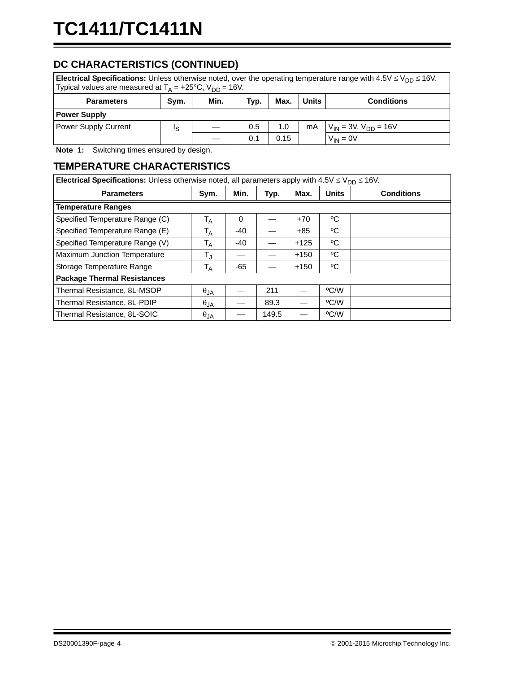### **DC CHARACTERISTICS (CONTINUED)**

| <b>Electrical Specifications:</b> Unless otherwise noted, over the operating temperature range with $4.5\sqrt{\phantom{0}}\leq \sqrt{\phantom{0}}$ 16V.<br>Typical values are measured at $T_A = +25^{\circ}C$ , $V_{DD} = 16V$ . |     |  |     |     |    |                               |
|-----------------------------------------------------------------------------------------------------------------------------------------------------------------------------------------------------------------------------------|-----|--|-----|-----|----|-------------------------------|
| Max.<br><b>Units</b><br>Min.<br>Sym.<br>Typ.<br><b>Conditions</b><br><b>Parameters</b>                                                                                                                                            |     |  |     |     |    |                               |
| <b>Power Supply</b>                                                                                                                                                                                                               |     |  |     |     |    |                               |
| <b>Power Supply Current</b>                                                                                                                                                                                                       | Is. |  | 0.5 | 1.0 | mA | $V_{IN}$ = 3V, $V_{DD}$ = 16V |
| $V_{IN} = 0V$<br>0.1<br>0.15                                                                                                                                                                                                      |     |  |     |     |    |                               |

**Note 1:** Switching times ensured by design.

#### **TEMPERATURE CHARACTERISTICS**

| <b>Electrical Specifications:</b> Unless otherwise noted, all parameters apply with $4.5V \leq V_{DD} \leq 16V$ . |                         |          |       |        |              |                   |  |
|-------------------------------------------------------------------------------------------------------------------|-------------------------|----------|-------|--------|--------------|-------------------|--|
| <b>Parameters</b>                                                                                                 | Sym.                    | Min.     | Typ.  | Max.   | <b>Units</b> | <b>Conditions</b> |  |
| <b>Temperature Ranges</b>                                                                                         |                         |          |       |        |              |                   |  |
| Specified Temperature Range (C)                                                                                   | $\mathsf{T}_\mathsf{A}$ | $\Omega$ |       | $+70$  | °C           |                   |  |
| Specified Temperature Range (E)                                                                                   | T <sub>A</sub>          | -40      |       | $+85$  | °€           |                   |  |
| Specified Temperature Range (V)                                                                                   | $\mathsf{T}_\mathsf{A}$ | $-40$    |       | $+125$ | °€           |                   |  |
| <b>Maximum Junction Temperature</b>                                                                               | $T_{\rm J}$             |          |       | $+150$ | °C           |                   |  |
| Storage Temperature Range                                                                                         | Т <sub>А</sub>          | -65      |       | $+150$ | °C           |                   |  |
| <b>Package Thermal Resistances</b>                                                                                |                         |          |       |        |              |                   |  |
| Thermal Resistance, 8L-MSOP                                                                                       | $\theta_{JA}$           |          | 211   |        | °C/W         |                   |  |
| Thermal Resistance, 8L-PDIP                                                                                       | $\theta$ JA             |          | 89.3  |        | °C/W         |                   |  |
| Thermal Resistance, 8L-SOIC                                                                                       | $\theta_{JA}$           |          | 149.5 |        | °C/W         |                   |  |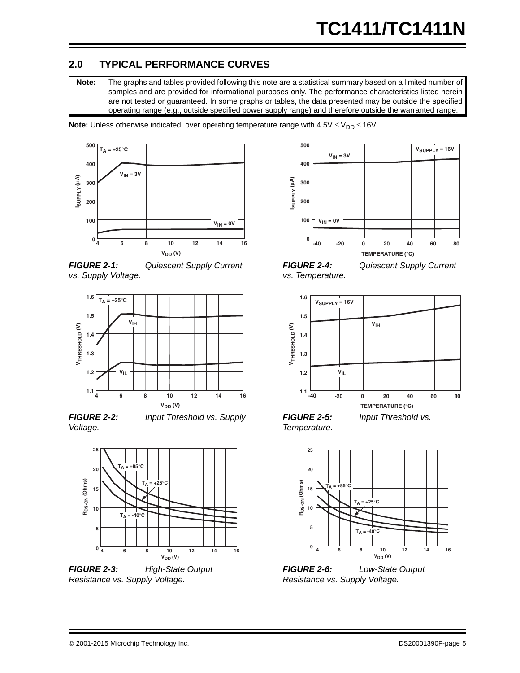#### **2.0 TYPICAL PERFORMANCE CURVES**

**Note:** The graphs and tables provided following this note are a statistical summary based on a limited number of samples and are provided for informational purposes only. The performance characteristics listed herein are not tested or guaranteed. In some graphs or tables, the data presented may be outside the specified operating range (e.g., outside specified power supply range) and therefore outside the warranted range.

**Note:** Unless otherwise indicated, over operating temperature range with  $4.5V \leq V_{DD} \leq 16V$ .







*FIGURE 2-2: Input Threshold vs. Supply Voltage.*



*FIGURE 2-3: High-State Output Resistance vs. Supply Voltage.*







*FIGURE 2-5: Input Threshold vs. Temperature.*



*FIGURE 2-6: Low-State Output Resistance vs. Supply Voltage.*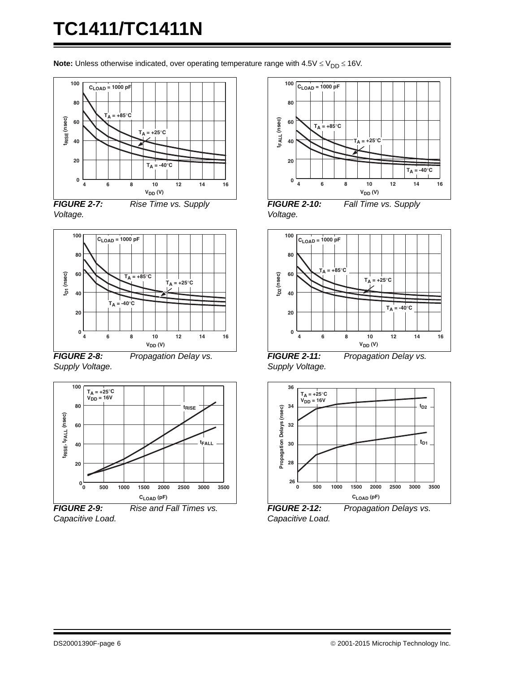# **TC1411/TC1411N**

**Note:** Unless otherwise indicated, over operating temperature range with  $4.5V \leq V_{DD} \leq 16V$ .







*Supply Voltage.*

*FIGURE 2-8: Propagation Delay vs.* 



*Capacitive Load.*



*FIGURE 2-10: Fall Time vs. Supply Voltage.*



*FIGURE 2-11: Propagation Delay vs. Supply Voltage.*



*FIGURE 2-12: Propagation Delays vs. Capacitive Load.*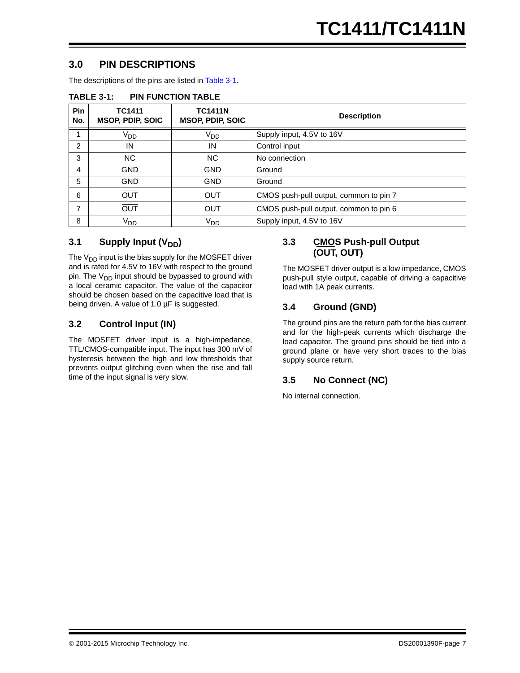#### <span id="page-6-1"></span>**3.0 PIN DESCRIPTIONS**

The descriptions of the pins are listed in [Table 3-1.](#page-6-0)

| Pin<br>No.     | <b>TC1411</b><br><b>MSOP, PDIP, SOIC</b> | <b>TC1411N</b><br><b>MSOP, PDIP, SOIC</b> | <b>Description</b>                     |
|----------------|------------------------------------------|-------------------------------------------|----------------------------------------|
| 1              | V <sub>DD</sub>                          | V <sub>DD</sub>                           | Supply input, 4.5V to 16V              |
| 2              | IN                                       | IN                                        | Control input                          |
| 3              | NC.                                      | NC.                                       | No connection                          |
| $\overline{4}$ | <b>GND</b>                               | <b>GND</b>                                | Ground                                 |
| 5              | <b>GND</b>                               | <b>GND</b>                                | Ground                                 |
| 6              | <b>OUT</b>                               | <b>OUT</b>                                | CMOS push-pull output, common to pin 7 |
| 7              | <b>OUT</b>                               | <b>OUT</b>                                | CMOS push-pull output, common to pin 6 |
| 8              | V <sub>DD</sub>                          | V <sub>DD</sub>                           | Supply input, 4.5V to 16V              |

#### <span id="page-6-0"></span>**TABLE 3-1: PIN FUNCTION TABLE**

#### **3.1** Supply Input (V<sub>DD</sub>)

The  $V_{DD}$  input is the bias supply for the MOSFET driver and is rated for 4.5V to 16V with respect to the ground pin. The  $V_{DD}$  input should be bypassed to ground with a local ceramic capacitor. The value of the capacitor should be chosen based on the capacitive load that is being driven. A value of 1.0 µF is suggested.

#### **3.2 Control Input (IN)**

The MOSFET driver input is a high-impedance, TTL/CMOS-compatible input. The input has 300 mV of hysteresis between the high and low thresholds that prevents output glitching even when the rise and fall time of the input signal is very slow.

#### **3.3 CMOS Push-pull Output (OUT, OUT)**

The MOSFET driver output is a low impedance, CMOS push-pull style output, capable of driving a capacitive load with 1A peak currents.

#### **3.4 Ground (GND)**

The ground pins are the return path for the bias current and for the high-peak currents which discharge the load capacitor. The ground pins should be tied into a ground plane or have very short traces to the bias supply source return.

#### **3.5 No Connect (NC)**

No internal connection.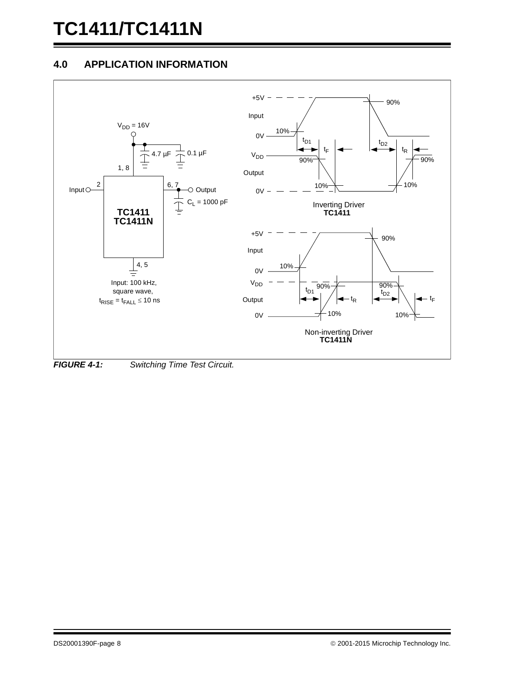# **TC1411/TC1411N**

#### **4.0 APPLICATION INFORMATION**



<span id="page-7-0"></span>*FIGURE 4-1: Switching Time Test Circuit.*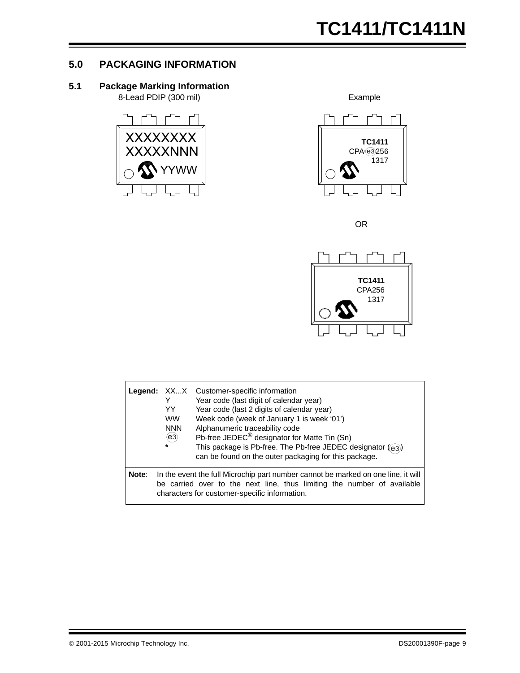#### **5.0 PACKAGING INFORMATION**

#### **5.1 Package Marking Information**

8-Lead PDIP (300 mil) Example





OR



|       | YY.<br><b>WW</b><br><b>NNN</b><br>(e3)<br>$\star$ | Legend: XXX Customer-specific information<br>Year code (last digit of calendar year)<br>Year code (last 2 digits of calendar year)<br>Week code (week of January 1 is week '01')<br>Alphanumeric traceability code<br>Pb-free JEDEC <sup>®</sup> designator for Matte Tin (Sn)<br>This package is Pb-free. The Pb-free JEDEC designator (e3)<br>can be found on the outer packaging for this package. |
|-------|---------------------------------------------------|-------------------------------------------------------------------------------------------------------------------------------------------------------------------------------------------------------------------------------------------------------------------------------------------------------------------------------------------------------------------------------------------------------|
| Note: |                                                   | In the event the full Microchip part number cannot be marked on one line, it will<br>be carried over to the next line, thus limiting the number of available<br>characters for customer-specific information.                                                                                                                                                                                         |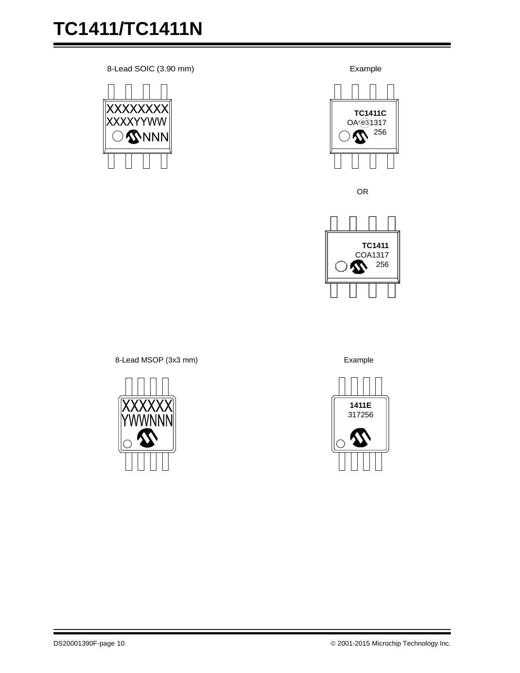8-Lead SOIC (3.90 mm) Example





OR



8-Lead MSOP (3x3 mm) Example



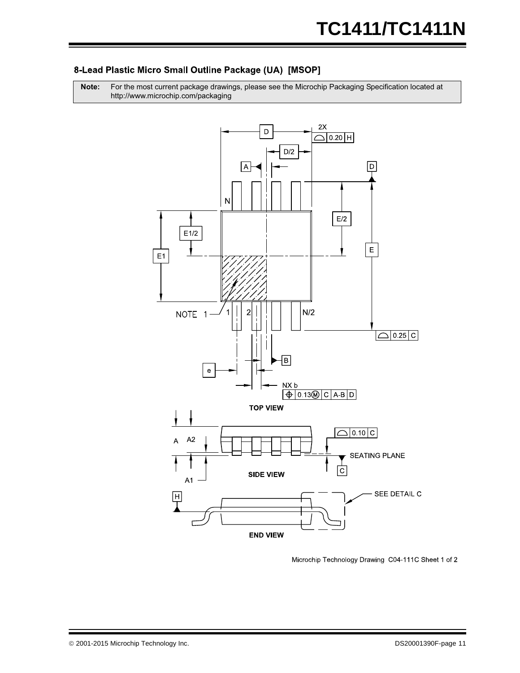#### 8-Lead Plastic Micro Small Outline Package (UA) [MSOP]

Note: For the most current package drawings, please see the Microchip Packaging Specification located at http://www.microchip.com/packaging



Microchip Technology Drawing C04-111C Sheet 1 of 2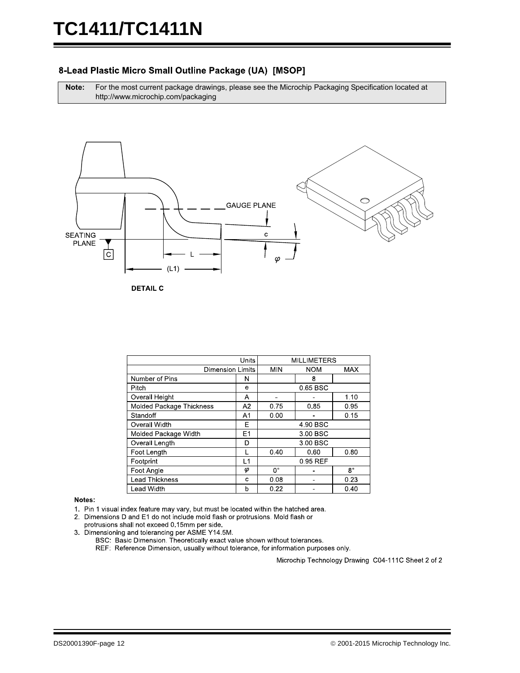#### 8-Lead Plastic Micro Small Outline Package (UA) [MSOP]

**Note:** For the most current package drawings, please see the Microchip Packaging Specification located at http://www.microchip.com/packaging



**DETAIL C** 

|                          |                         | <b>MILLIMETERS</b> |            |             |
|--------------------------|-------------------------|--------------------|------------|-------------|
|                          | <b>Dimension Limits</b> |                    | <b>NOM</b> | <b>MAX</b>  |
| Number of Pins           | N                       |                    | 8          |             |
| Pitch                    | e                       |                    | 0.65 BSC   |             |
| Overall Height           | A                       |                    |            | 1.10        |
| Molded Package Thickness | A2                      | 0.75               | 0.85       | 0.95        |
| Standoff                 | A <sub>1</sub>          | 0.00               |            | 0.15        |
| Overall Width            | Е                       | 4 90 BSC           |            |             |
| Molded Package Width     | E1                      | 3.00 BSC           |            |             |
| Overall Length           | D                       |                    | 3.00 BSC   |             |
| Foot Length              |                         | 0.40               | 0.60       | 0.80        |
| Footprint                | L1                      | 0.95 REF           |            |             |
| Foot Angle               | φ                       | $0^{\circ}$        |            | $8^{\circ}$ |
| <b>Lead Thickness</b>    | c                       | 0.08               |            | 0.23        |
| Lead Width               | b                       | 0.22               |            | 0.40        |

#### Notes:

1. Pin 1 visual index feature may vary, but must be located within the hatched area.

2. Dimensions D and E1 do not include mold flash or protrusions. Mold flash or

protrusions shall not exceed 0.15mm per side. 3. Dimensioning and tolerancing per ASME Y14.5M.

BSC: Basic Dimension. Theoretically exact value shown without tolerances.

REF: Reference Dimension, usually without tolerance, for information purposes only.

Microchip Technology Drawing C04-111C Sheet 2 of 2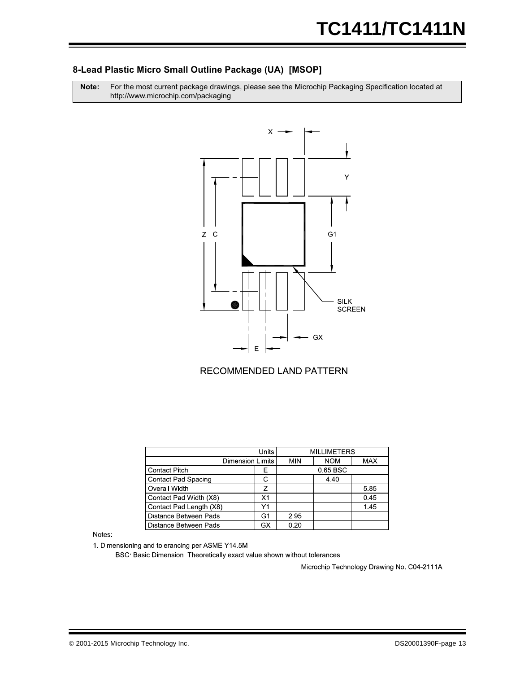#### **8-Lead Plastic Micro Small Outline Package (UA) [MSOP]**

**Note:** For the most current package drawings, please see the Microchip Packaging Specification located at http://www.microchip.com/packaging



#### RECOMMENDED LAND PATTERN

|                              | Un ts |      | <b>MILLIMETERS</b> |            |
|------------------------------|-------|------|--------------------|------------|
|                              |       |      |                    |            |
| <b>Dimension Limits</b>      |       | MIN  | <b>NOM</b>         | <b>MAX</b> |
| <b>Contact Pitch</b>         | F     |      | 0.65 BSC           |            |
| <b>Contact Pad Spacing</b>   | C     |      | 4.40               |            |
| Overall Width                | 7     |      |                    | 5.85       |
| Contact Pad Width (X8)       | X1    |      |                    | 0.45       |
| Contact Pad Length (X8)      | Υ1    |      |                    | 145        |
| <b>Distance Between Pads</b> | G1    | 2.95 |                    |            |
| Distance Between Pads        | GX    | 0.20 |                    |            |

#### **Notes**

1. Dimensioning and tolerancing per ASME Y14.5M

BSC: Basic Dimension. Theoretically exact value shown without tolerances.

Microchip Technology Drawing No. C04-2111A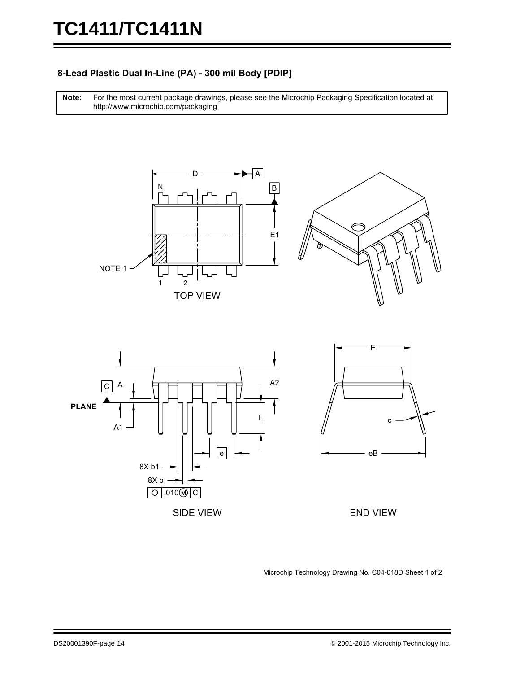#### 8-Lead Plastic Dual In-Line (PA) - 300 mil Body [PDIP]

For the most current package drawings, please see the Microchip Packaging Specification located at http://www.microchip.com/packaging **Note:** 









Microchip Technology Drawing No. C04-018D Sheet 1 of 2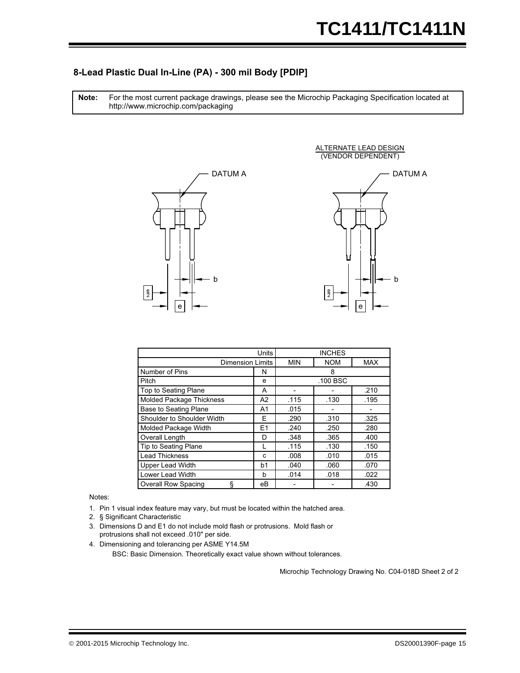#### 8-Lead Plastic Dual In-Line (PA) - 300 mil Body [PDIP]

For the most current package drawings, please see the Microchip Packaging Specification located at http://www.microchip.com/packaging **Note:** 





ALTERNATE LEAD DESIGN

|                                 | <b>INCHES</b> |            |            |      |
|---------------------------------|---------------|------------|------------|------|
| <b>Dimension Limits</b>         | <b>MIN</b>    | <b>NOM</b> | <b>MAX</b> |      |
| Number of Pins                  | N             |            | 8          |      |
| Pitch                           | e             |            | .100 BSC   |      |
| <b>Top to Seating Plane</b>     | A             |            |            | .210 |
| <b>Molded Package Thickness</b> | A2            | .115       | .130       | .195 |
| <b>Base to Seating Plane</b>    | A1            | .015       |            |      |
| Shoulder to Shoulder Width      | E.            | .290       | .310       | .325 |
| Molded Package Width            | E1            | .240       | .250       | .280 |
| Overall Length                  | D             | .348       | .365       | .400 |
| <b>Tip to Seating Plane</b>     |               | .115       | .130       | .150 |
| <b>Lead Thickness</b>           | c             | .008       | .010       | .015 |
| <b>Upper Lead Width</b>         | b1            | .040       | .060       | .070 |
| Lower Lead Width                | b             | .014       | .018       | .022 |
| <b>Overall Row Spacing</b><br>ş | eВ            |            |            | .430 |

Notes:

- 1. Pin 1 visual index feature may vary, but must be located within the hatched area.
- 2. § Significant Characteristic
- 3. Dimensions D and E1 do not include mold flash or protrusions. Mold flash or protrusions shall not exceed .010" per side.
- BSC: Basic Dimension. Theoretically exact value shown without tolerances. 4. Dimensioning and tolerancing per ASME Y14.5M

Microchip Technology Drawing No. C04-018D Sheet 2 of 2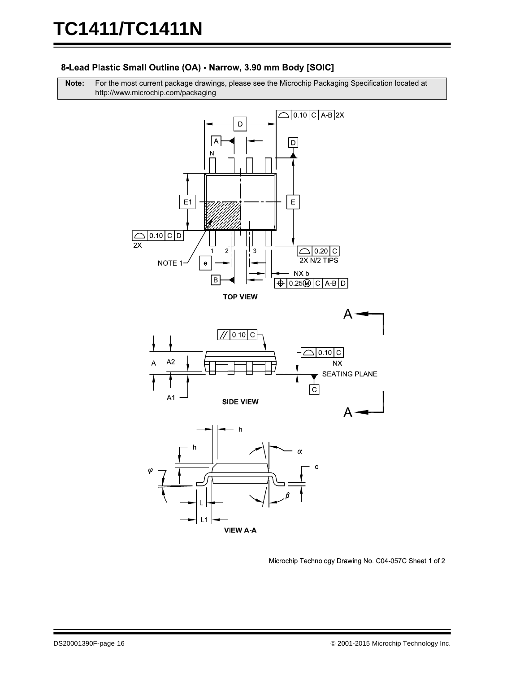#### 8-Lead Plastic Small Outline (OA) - Narrow, 3.90 mm Body [SOIC]

**Note:** For the most current package drawings, please see the Microchip Packaging Specification located at http://www.microchip.com/packaging



Microchip Technology Drawing No. C04-057C Sheet 1 of 2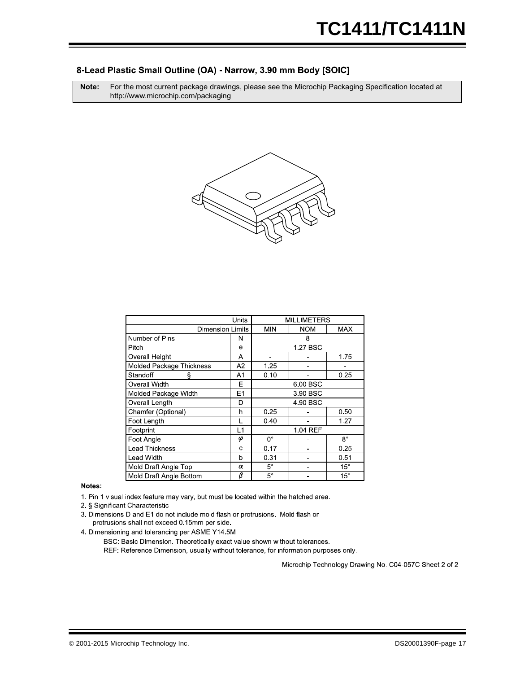#### 8-Lead Plastic Small Outline (OA) - Narrow, 3.90 mm Body [SOIC]

**Note:** For the most current package drawings, please see the Microchip Packaging Specification located at http://www.microchip.com/packaging



|                          | <b>MILLIMETERS</b>      |              |            |              |
|--------------------------|-------------------------|--------------|------------|--------------|
|                          | <b>Dimension Limits</b> |              | <b>NOM</b> | MAX          |
| Number of Pins           | N                       |              | 8          |              |
| Pitch                    | e                       |              | 1.27 BSC   |              |
| <b>Overall Height</b>    | Α                       |              |            | 1.75         |
| Molded Package Thickness | A2                      | 1 25         |            |              |
| Standoff<br>ş            | A1                      | 0.10         |            | 0.25         |
| Overall Width            | Е                       | 6.00 BSC     |            |              |
| Molded Package Width     | E1                      | 3.90 BSC     |            |              |
| Overall Length           | D                       |              | 4.90 BSC   |              |
| Chamfer (Optional)       | h                       | 0.25         |            | 0.50         |
| Foot Length              |                         | 0.40         |            | 1.27         |
| Footprint                | L1                      |              | 1.04 REF   |              |
| Foot Angle               | φ                       | $0^{\circ}$  |            | $8^{\circ}$  |
| <b>Lead Thickness</b>    | c                       | 0.17<br>0.25 |            |              |
| Lead Width               | b                       | 0.31         |            | 0.51         |
| Mold Draft Angle Top     | α                       | $5^{\circ}$  |            | $15^{\circ}$ |
| Mold Draft Angle Bottom  | β                       | $5^{\circ}$  |            | $15^{\circ}$ |

Notes:

1. Pin 1 visual index feature may vary, but must be located within the hatched area.

2 § Significant Characteristic

3. Dimensions D and E1 do not include mold flash or protrusions. Mold flash or protrusions shall not exceed 0.15mm per side.

4. Dimensioning and tolerancing per ASME Y14.5M

BSC: Basic Dimension. Theoretically exact value shown without tolerances.

REF: Reference Dimension, usually without tolerance, for information purposes only.

Microchip Technology Drawing No. C04-057C Sheet 2 of 2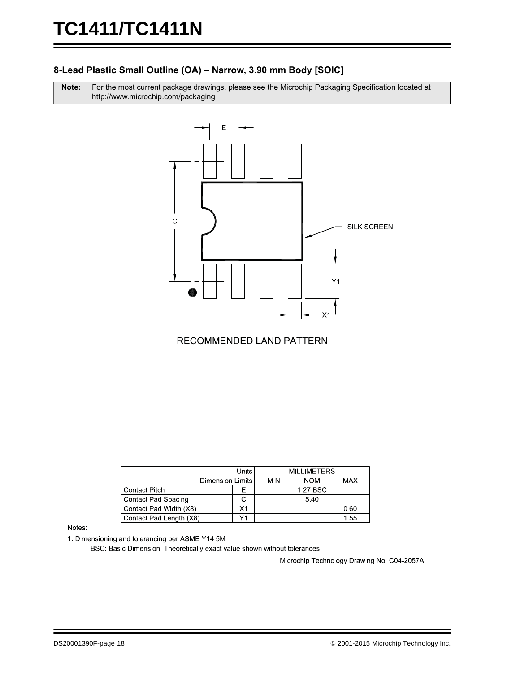#### 8-Lead Plastic Small Outline (OA) – Narrow, 3.90 mm Body [SOIC]

Note: r the most current package drawings, please see the Microchip Packaging Specification located at http://www.microchip.com/packaging



RECOMMENDED LAND PATTERN

|                            |               | <b>MILLIMETERS</b> |            |            |
|----------------------------|---------------|--------------------|------------|------------|
| Dimension Limits           |               | <b>MIN</b>         | <b>NOM</b> | <b>MAX</b> |
| <b>Contact Pitch</b>       | 1.27 BSC<br>⊢ |                    |            |            |
| <b>Contact Pad Spacing</b> |               |                    | 5.40       |            |
| Contact Pad Width (X8)     | X1            |                    |            | 0.60       |
| Contact Pad Length (X8)    |               |                    |            | 1.55       |

Notes:

1. Dimensioning and tolerancing per ASME Y14.5M

BSC: Basic Dimension. Theoretically exact value shown without tolerances.

Microchip Technology Drawing No. C04-2057A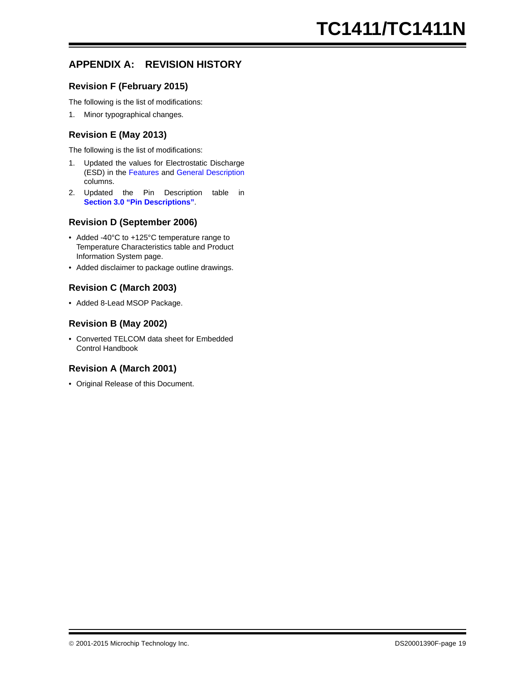#### **APPENDIX A: REVISION HISTORY**

#### **Revision F (February 2015)**

The following is the list of modifications:

1. Minor typographical changes.

#### **Revision E (May 2013)**

The following is the list of modifications:

- 1. Updated the values for Electrostatic Discharge (ESD) in the [Features](#page-0-0) and [General Description](#page-0-1) columns.
- 2. Updated the Pin Description table in **[Section 3.0 "Pin Descriptions"](#page-6-1)**.

#### **Revision D (September 2006)**

- Added -40°C to +125°C temperature range to Temperature Characteristics table and Product Information System page.
- Added disclaimer to package outline drawings.

#### **Revision C (March 2003)**

• Added 8-Lead MSOP Package.

#### **Revision B (May 2002)**

• Converted TELCOM data sheet for Embedded Control Handbook

#### **Revision A (March 2001)**

• Original Release of this Document.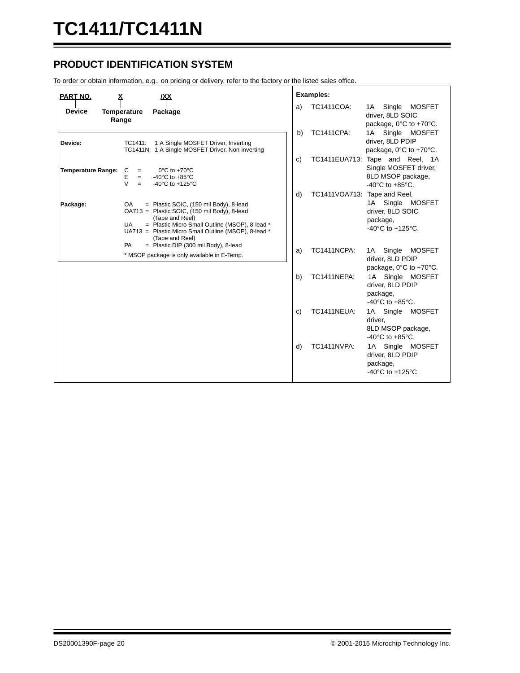#### **PRODUCT IDENTIFICATION SYSTEM**

To order or obtain information, e.g., on pricing or delivery, refer to the factory or the listed sales office.

| PART NO.<br>X<br>/XX                                                                                                                                                                                                                                                   | <b>Examples:</b>                                                                                                                |
|------------------------------------------------------------------------------------------------------------------------------------------------------------------------------------------------------------------------------------------------------------------------|---------------------------------------------------------------------------------------------------------------------------------|
| <b>Device</b><br><b>Temperature</b><br>Package<br>Range                                                                                                                                                                                                                | <b>TC1411COA:</b><br>1A Single MOSFET<br>a)<br>driver, 8LD SOIC<br>package, 0°C to +70°C.                                       |
| Device:<br>1 A Single MOSFET Driver, Inverting<br>TC1411:<br>TC1411N: 1 A Single MOSFET Driver, Non-inverting                                                                                                                                                          | <b>TC1411CPA:</b><br>b)<br>1A Single MOSFET<br>driver, 8LD PDIP<br>package, 0°C to +70°C.                                       |
| <b>Temperature Range:</b><br>C<br>$0^{\circ}$ C to +70 $^{\circ}$ C<br>$=$<br>E<br>-40 $^{\circ}$ C to +85 $^{\circ}$ C<br>$=$<br>$\vee$<br>$-40^{\circ}$ C to $+125^{\circ}$ C<br>$=$                                                                                 | TC1411EUA713: Tape and Reel, 1A<br>c)<br>Single MOSFET driver,<br>8LD MSOP package,<br>$-40^{\circ}$ C to $+85^{\circ}$ C.      |
| = Plastic SOIC, (150 mil Body), 8-lead<br>Package:<br>OA.<br>OA713 = Plastic SOIC, (150 mil Body), 8-lead<br>(Tape and Reel)<br>= Plastic Micro Small Outline (MSOP), 8-lead *<br><b>UA</b><br>UA713 = Plastic Micro Small Outline (MSOP), 8-lead *<br>(Tape and Reel) | d)<br>TC1411VOA713: Tape and Reel,<br>1A Single MOSFET<br>driver, 8LD SOIC<br>package,<br>$-40^{\circ}$ C to $+125^{\circ}$ C.  |
| $=$ Plastic DIP (300 mil Body), 8-lead<br>PA<br>* MSOP package is only available in E-Temp.                                                                                                                                                                            | <b>TC1411NCPA:</b><br>1A Single MOSFET<br>a)<br>driver, 8LD PDIP<br>package, 0°C to +70°C.                                      |
|                                                                                                                                                                                                                                                                        | TC1411NEPA:<br>1A Single MOSFET<br>b)<br>driver, 8LD PDIP<br>package,<br>-40 $^{\circ}$ C to +85 $^{\circ}$ C.                  |
|                                                                                                                                                                                                                                                                        | <b>TC1411NEUA:</b><br>c)<br>1A Single<br><b>MOSFET</b><br>driver,<br>8LD MSOP package,<br>-40 $^{\circ}$ C to +85 $^{\circ}$ C. |
|                                                                                                                                                                                                                                                                        | d)<br><b>TC1411NVPA:</b><br>1A Single MOSFET<br>driver, 8LD PDIP<br>package,<br>$-40^{\circ}$ C to $+125^{\circ}$ C.            |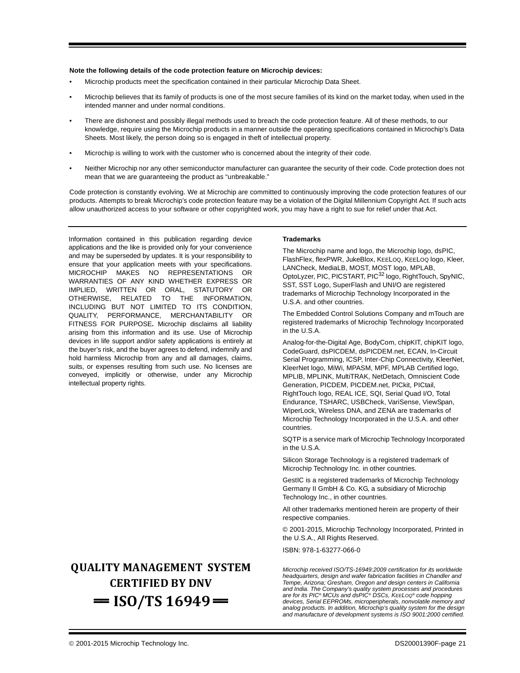#### **Note the following details of the code protection feature on Microchip devices:**

- Microchip products meet the specification contained in their particular Microchip Data Sheet.
- Microchip believes that its family of products is one of the most secure families of its kind on the market today, when used in the intended manner and under normal conditions.
- There are dishonest and possibly illegal methods used to breach the code protection feature. All of these methods, to our knowledge, require using the Microchip products in a manner outside the operating specifications contained in Microchip's Data Sheets. Most likely, the person doing so is engaged in theft of intellectual property.
- Microchip is willing to work with the customer who is concerned about the integrity of their code.
- Neither Microchip nor any other semiconductor manufacturer can guarantee the security of their code. Code protection does not mean that we are guaranteeing the product as "unbreakable."

Code protection is constantly evolving. We at Microchip are committed to continuously improving the code protection features of our products. Attempts to break Microchip's code protection feature may be a violation of the Digital Millennium Copyright Act. If such acts allow unauthorized access to your software or other copyrighted work, you may have a right to sue for relief under that Act.

Information contained in this publication regarding device applications and the like is provided only for your convenience and may be superseded by updates. It is your responsibility to ensure that your application meets with your specifications. MICROCHIP MAKES NO REPRESENTATIONS OR WARRANTIES OF ANY KIND WHETHER EXPRESS OR IMPLIED, WRITTEN OR ORAL, STATUTORY OR OTHERWISE, RELATED TO THE INFORMATION, INCLUDING BUT NOT LIMITED TO ITS CONDITION, QUALITY, PERFORMANCE, MERCHANTABILITY OR FITNESS FOR PURPOSE**.** Microchip disclaims all liability arising from this information and its use. Use of Microchip devices in life support and/or safety applications is entirely at the buyer's risk, and the buyer agrees to defend, indemnify and hold harmless Microchip from any and all damages, claims, suits, or expenses resulting from such use. No licenses are conveyed, implicitly or otherwise, under any Microchip intellectual property rights.

### **QUALITY MANAGEMENT SYSTEM CERTIFIED BY DNV**   $=$  **ISO/TS 16949** $=$

#### **Trademarks**

The Microchip name and logo, the Microchip logo, dsPIC, FlashFlex, flexPWR, JukeBlox, KEELOQ, KEELOQ logo, Kleer, LANCheck, MediaLB, MOST, MOST logo, MPLAB, OptoLyzer, PIC, PICSTART, PIC32 logo, RightTouch, SpyNIC, SST, SST Logo, SuperFlash and UNI/O are registered trademarks of Microchip Technology Incorporated in the U.S.A. and other countries.

The Embedded Control Solutions Company and mTouch are registered trademarks of Microchip Technology Incorporated in the U.S.A.

Analog-for-the-Digital Age, BodyCom, chipKIT, chipKIT logo, CodeGuard, dsPICDEM, dsPICDEM.net, ECAN, In-Circuit Serial Programming, ICSP, Inter-Chip Connectivity, KleerNet, KleerNet logo, MiWi, MPASM, MPF, MPLAB Certified logo, MPLIB, MPLINK, MultiTRAK, NetDetach, Omniscient Code Generation, PICDEM, PICDEM.net, PICkit, PICtail, RightTouch logo, REAL ICE, SQI, Serial Quad I/O, Total Endurance, TSHARC, USBCheck, VariSense, ViewSpan, WiperLock, Wireless DNA, and ZENA are trademarks of Microchip Technology Incorporated in the U.S.A. and other countries.

SQTP is a service mark of Microchip Technology Incorporated in the U.S.A.

Silicon Storage Technology is a registered trademark of Microchip Technology Inc. in other countries.

GestIC is a registered trademarks of Microchip Technology Germany II GmbH & Co. KG, a subsidiary of Microchip Technology Inc., in other countries.

All other trademarks mentioned herein are property of their respective companies.

© 2001-2015, Microchip Technology Incorporated, Printed in the U.S.A., All Rights Reserved.

ISBN: 978-1-63277-066-0

*Microchip received ISO/TS-16949:2009 certification for its worldwide headquarters, design and wafer fabrication facilities in Chandler and Tempe, Arizona; Gresham, Oregon and design centers in California and India. The Company's quality system processes and procedures are for its PIC® MCUs and dsPIC® DSCs, KEELOQ® code hopping devices, Serial EEPROMs, microperipherals, nonvolatile memory and analog products. In addition, Microchip's quality system for the design and manufacture of development systems is ISO 9001:2000 certified.*